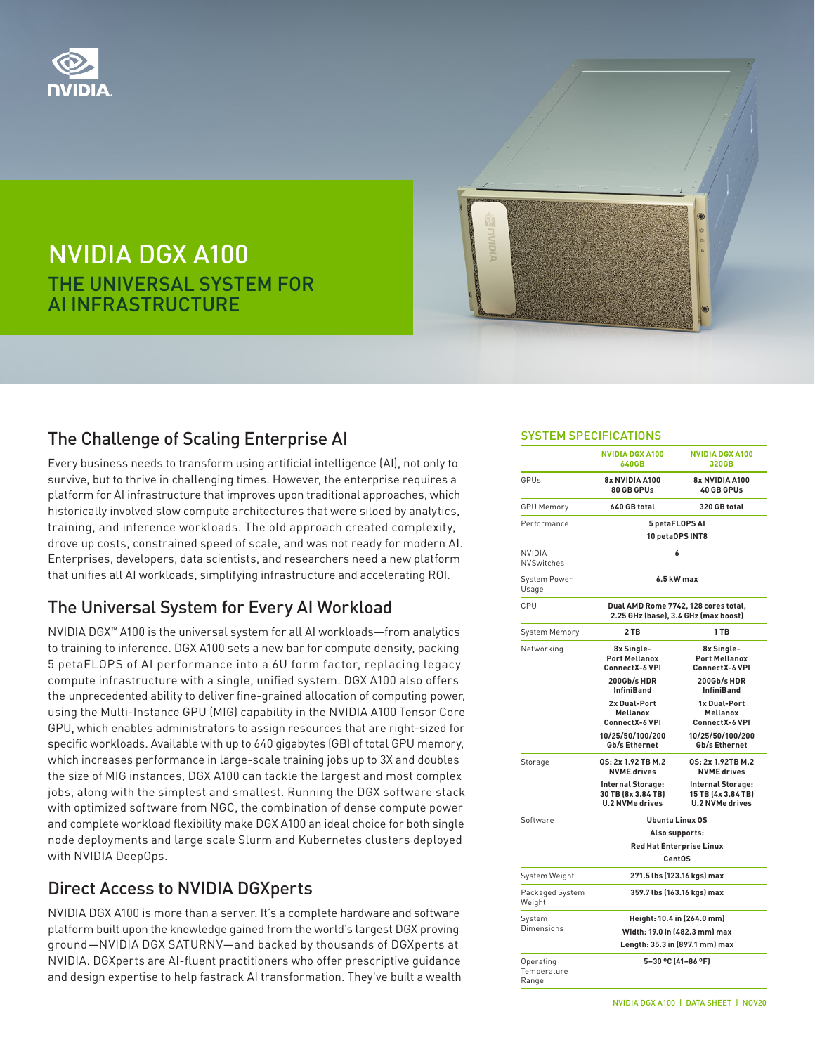

# NVIDIA DGX A100 THE UNIVERSAL SYSTEM FOR AI INFRASTRUCTURE

### The Challenge of Scaling Enterprise AI

Every business needs to transform using artificial intelligence (AI), not only to survive, but to thrive in challenging times. However, the enterprise requires a platform for AI infrastructure that improves upon traditional approaches, which historically involved slow compute architectures that were siloed by analytics, training, and inference workloads. The old approach created complexity, drove up costs, constrained speed of scale, and was not ready for modern AI. Enterprises, developers, data scientists, and researchers need a new platform that unifies all AI workloads, simplifying infrastructure and accelerating ROI.

#### The Universal System for Every AI Workload

NVIDIA DGX™ A100 is the universal system for all AI workloads—from analytics to training to inference. DGX A100 sets a new bar for compute density, packing 5 petaFLOPS of AI performance into a 6U form factor, replacing legacy compute infrastructure with a single, unified system. DGX A100 also offers the unprecedented ability to deliver fine-grained allocation of computing power, using the Multi-Instance GPU (MIG) capability in the NVIDIA A100 Tensor Core GPU, which enables administrators to assign resources that are right-sized for specific workloads. Available with up to 640 gigabytes (GB) of total GPU memory, which increases performance in large-scale training jobs up to 3X and doubles the size of MIG instances, DGX A100 can tackle the largest and most complex jobs, along with the simplest and smallest. Running the DGX software stack with optimized software from NGC, the combination of dense compute power and complete workload flexibility make DGX A100 an ideal choice for both single node deployments and large scale Slurm and Kubernetes clusters deployed with NVIDIA DeepOps.

#### Direct Access to NVIDIA DGXperts

NVIDIA DGX A100 is more than a server. It's a complete hardware and software platform built upon the knowledge gained from the world's largest DGX proving ground—NVIDIA DGX SATURNV—and backed by thousands of DGXperts at NVIDIA. DGXperts are AI-fluent practitioners who offer prescriptive guidance and design expertise to help fastrack AI transformation. They've built a wealth

#### SYSTEM SPECIFICATIONS

|                                   | <b>NVIDIA DGX A100</b><br><b>640GB</b>                                       | <b>NVIDIA DGX A100</b><br>320GB                                   |
|-----------------------------------|------------------------------------------------------------------------------|-------------------------------------------------------------------|
| GPUs                              | 8x NVIDIA A100<br>80 GB GPUs                                                 | 8x NVIDIA A100<br>40 GB GPUs                                      |
| <b>GPU Memory</b>                 | 640 GB total                                                                 | 320 GB total                                                      |
| Performance                       | 5 petaFLOPS AI<br><b>10 petaOPS INT8</b>                                     |                                                                   |
| NVIDIA<br><b>NVSwitches</b>       | 6                                                                            |                                                                   |
| System Power<br>Usage             | 6.5 kW max                                                                   |                                                                   |
| CPU                               | Dual AMD Rome 7742, 128 cores total,<br>2.25 GHz (base), 3.4 GHz (max boost) |                                                                   |
| System Memory                     | 2 TB                                                                         | 1 TB                                                              |
| Networking                        | 8x Single-<br><b>Port Mellanox</b><br><b>ConnectX-6 VPI</b>                  | 8x Single-<br><b>Port Mellanox</b><br>ConnectX-6 VPI              |
|                                   | 200Gb/s HDR<br><b>InfiniBand</b>                                             | 200Gb/s HDR<br><b>InfiniBand</b>                                  |
|                                   | 2x Dual-Port<br><b>Mellanox</b><br><b>ConnectX-6 VPI</b>                     | 1x Dual-Port<br><b>Mellanox</b><br><b>ConnectX-6 VPI</b>          |
|                                   | 10/25/50/100/200<br>Gb/s Ethernet                                            | 10/25/50/100/200<br>Gb/s Ethernet                                 |
| Storage                           | 0S: 2x 1.92 TB M.2<br><b>NVME</b> drives                                     | 0S: 2x 1.92TB M.2<br><b>NVME</b> drives                           |
|                                   | Internal Storage:<br>30 TB (8x 3.84 TB)<br><b>U.2 NVMe drives</b>            | Internal Storage:<br>15 TB (4x 3.84 TB)<br><b>U.2 NVMe drives</b> |
| Software                          | <b>Ubuntu Linux OS</b>                                                       |                                                                   |
|                                   | Also supports:                                                               |                                                                   |
|                                   | <b>Red Hat Enterprise Linux</b><br><b>CentOS</b>                             |                                                                   |
| System Weight                     | 271.5 lbs (123.16 kgs) max                                                   |                                                                   |
| Packaged System<br>Weight         | 359.7 lbs (163.16 kgs) max                                                   |                                                                   |
| System                            | Height: 10.4 in (264.0 mm)                                                   |                                                                   |
| Dimensions                        | Width: 19.0 in (482.3 mm) max                                                |                                                                   |
|                                   | Length: 35.3 in (897.1 mm) max                                               |                                                                   |
| Operating<br>Temperature<br>Range |                                                                              | 5-30 °C (41-86 °F)                                                |